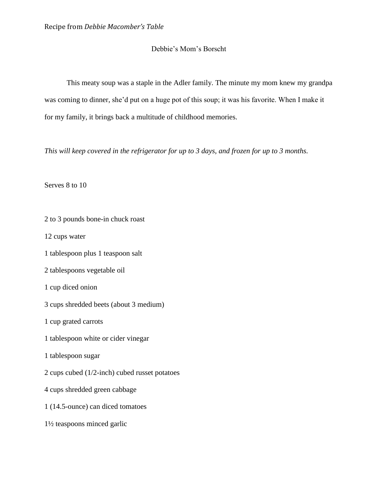## Debbie's Mom's Borscht

This meaty soup was a staple in the Adler family. The minute my mom knew my grandpa was coming to dinner, she'd put on a huge pot of this soup; it was his favorite. When I make it for my family, it brings back a multitude of childhood memories.

*This will keep covered in the refrigerator for up to 3 days, and frozen for up to 3 months.*

Serves 8 to 10

2 to 3 pounds bone-in chuck roast

12 cups water

1 tablespoon plus 1 teaspoon salt

2 tablespoons vegetable oil

1 cup diced onion

3 cups shredded beets (about 3 medium)

1 cup grated carrots

1 tablespoon white or cider vinegar

1 tablespoon sugar

2 cups cubed (1/2-inch) cubed russet potatoes

4 cups shredded green cabbage

1 (14.5-ounce) can diced tomatoes

1½ teaspoons minced garlic